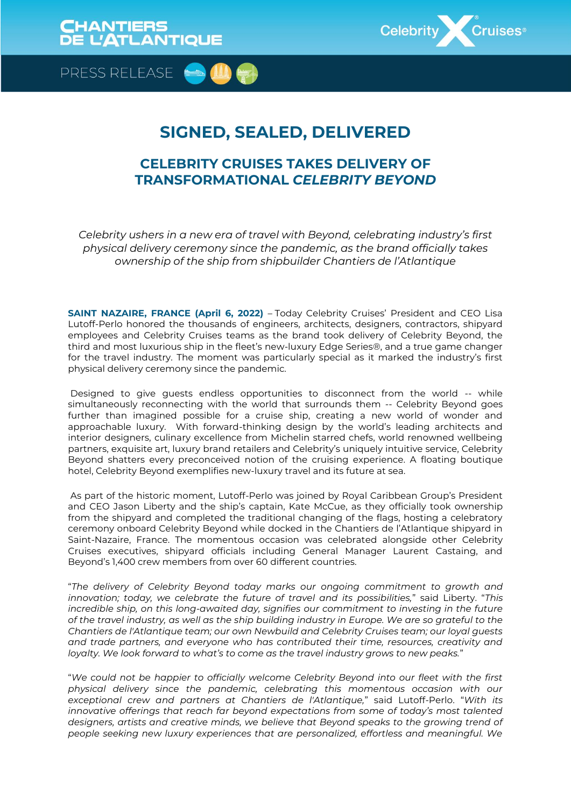

PRESS RELEASE

## **SIGNED, SEALED, DELIVERED**

### **CELEBRITY CRUISES TAKES DELIVERY OF TRANSFORMATIONAL** *CELEBRITY BEYOND*

*Celebrity ushers in a new era of travel with Beyond, celebrating industry's first physical delivery ceremony since the pandemic, as the brand officially takes ownership of the ship from shipbuilder Chantiers de l'Atlantique*

**SAINT NAZAIRE, FRANCE (April 6, 2022)** – Today Celebrity Cruises' President and CEO Lisa Lutoff-Perlo honored the thousands of engineers, architects, designers, contractors, shipyard employees and Celebrity Cruises teams as the brand took delivery of Celebrity Beyond, the third and most luxurious ship in the fleet's new-luxury Edge Series®, and a true game changer for the travel industry. The moment was particularly special as it marked the industry's first physical delivery ceremony since the pandemic.

Designed to give guests endless opportunities to disconnect from the world -- while simultaneously reconnecting with the world that surrounds them -- Celebrity Beyond goes further than imagined possible for a cruise ship, creating a new world of wonder and approachable luxury. With forward-thinking design by the world's leading architects and interior designers, culinary excellence from Michelin starred chefs, world renowned wellbeing partners, exquisite art, luxury brand retailers and Celebrity's uniquely intuitive service, Celebrity Beyond shatters every preconceived notion of the cruising experience. A floating boutique hotel, Celebrity Beyond exemplifies new-luxury travel and its future at sea.

As part of the historic moment, Lutoff-Perlo was joined by Royal Caribbean Group's President and CEO Jason Liberty and the ship's captain, Kate McCue, as they officially took ownership from the shipyard and completed the traditional changing of the flags, hosting a celebratory ceremony onboard Celebrity Beyond while docked in the Chantiers de l'Atlantique shipyard in Saint-Nazaire, France. The momentous occasion was celebrated alongside other Celebrity Cruises executives, shipyard officials including General Manager Laurent Castaing, and Beyond's 1,400 crew members from over 60 different countries.

"*The delivery of Celebrity Beyond today marks our ongoing commitment to growth and innovation; today, we celebrate the future of travel and its possibilities,*" said Liberty. "*This incredible ship, on this long-awaited day, signifies our commitment to investing in the future of the travel industry, as well as the ship building industry in Europe. We are so grateful to the Chantiers de l'Atlantique team; our own Newbuild and Celebrity Cruises team; our loyal guests and trade partners, and everyone who has contributed their time, resources, creativity and loyalty. We look forward to what's to come as the travel industry grows to new peaks.*"

"*We could not be happier to officially welcome Celebrity Beyond into our fleet with the first physical delivery since the pandemic, celebrating this momentous occasion with our exceptional crew and partners at Chantiers de l'Atlantique,*" said Lutoff-Perlo. "*With its innovative offerings that reach far beyond expectations from some of today's most talented designers, artists and creative minds, we believe that Beyond speaks to the growing trend of people seeking new luxury experiences that are personalized, effortless and meaningful. We*